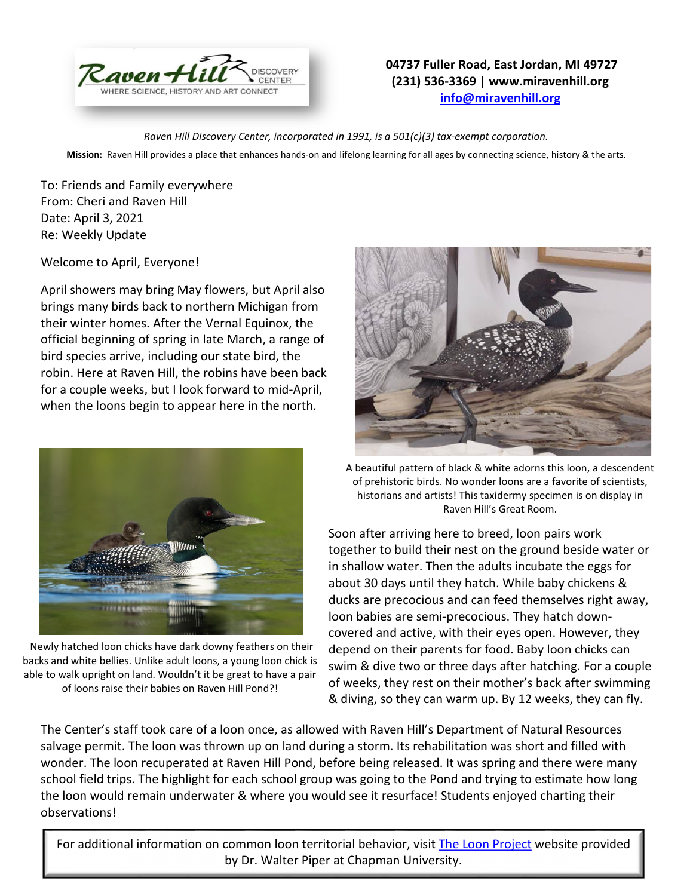

## **04737 Fuller Road, East Jordan, MI 49727 (231) 536-3369 | www.miravenhill.org [info@miravenhill.org](mailto:info@miravenhill.org)**

*Raven Hill Discovery Center, incorporated in 1991, is a 501(c)(3) tax-exempt corporation.*

**Mission:** Raven Hill provides a place that enhances hands-on and lifelong learning for all ages by connecting science, history & the arts.

To: Friends and Family everywhere From: Cheri and Raven Hill Date: April 3, 2021 Re: Weekly Update

Welcome to April, Everyone!

April showers may bring May flowers, but April also brings many birds back to northern Michigan from their winter homes. After the Vernal Equinox, the official beginning of spring in late March, a range of bird species arrive, including our state bird, the robin. Here at Raven Hill, the robins have been back for a couple weeks, but I look forward to mid-April, when the loons begin to appear here in the north.



Newly hatched loon chicks have dark downy feathers on their backs and white bellies. Unlike adult loons, a young loon chick is able to walk upright on land. Wouldn't it be great to have a pair of loons raise their babies on Raven Hill Pond?!



A beautiful pattern of black & white adorns this loon, a descendent of prehistoric birds. No wonder loons are a favorite of scientists, historians and artists! This taxidermy specimen is on display in Raven Hill's Great Room.

Soon after arriving here to breed, loon pairs work together to build their nest on the ground beside water or in shallow water. Then the adults incubate the eggs for about 30 days until they hatch. While baby chickens & ducks are precocious and can feed themselves right away, loon babies are semi-precocious. They hatch downcovered and active, with their eyes open. However, they depend on their parents for food. Baby loon chicks can swim & dive two or three days after hatching. For a couple of weeks, they rest on their mother's back after swimming & diving, so they can warm up. By 12 weeks, they can fly.

The Center's staff took care of a loon once, as allowed with Raven Hill's Department of Natural Resources salvage permit. The loon was thrown up on land during a storm. Its rehabilitation was short and filled with wonder. The loon recuperated at Raven Hill Pond, before being released. It was spring and there were many school field trips. The highlight for each school group was going to the Pond and trying to estimate how long the loon would remain underwater & where you would see it resurface! Students enjoyed charting their observations!

For additional information on common loon territorial behavior, visi[t The Loon Project](http://loonproject.org/) website provided by Dr. Walter Piper at Chapman University.